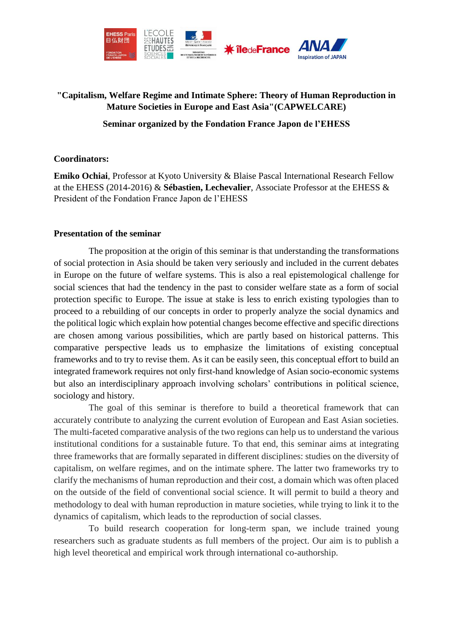

## **"Capitalism, Welfare Regime and Intimate Sphere: Theory of Human Reproduction in Mature Societies in Europe and East Asia"(CAPWELCARE)**

### **Seminar organized by the Fondation France Japon de l'EHESS**

#### **Coordinators:**

**Emiko Ochiai**, Professor at Kyoto University & Blaise Pascal International Research Fellow at the EHESS (2014-2016) & **Sébastien, Lechevalier**, Associate Professor at the EHESS & President of the Fondation France Japon de l'EHESS

#### **Presentation of the seminar**

The proposition at the origin of this seminar is that understanding the transformations of social protection in Asia should be taken very seriously and included in the current debates in Europe on the future of welfare systems. This is also a real epistemological challenge for social sciences that had the tendency in the past to consider welfare state as a form of social protection specific to Europe. The issue at stake is less to enrich existing typologies than to proceed to a rebuilding of our concepts in order to properly analyze the social dynamics and the political logic which explain how potential changes become effective and specific directions are chosen among various possibilities, which are partly based on historical patterns. This comparative perspective leads us to emphasize the limitations of existing conceptual frameworks and to try to revise them. As it can be easily seen, this conceptual effort to build an integrated framework requires not only first-hand knowledge of Asian socio-economic systems but also an interdisciplinary approach involving scholars' contributions in political science, sociology and history.

The goal of this seminar is therefore to build a theoretical framework that can accurately contribute to analyzing the current evolution of European and East Asian societies. The multi-faceted comparative analysis of the two regions can help us to understand the various institutional conditions for a sustainable future. To that end, this seminar aims at integrating three frameworks that are formally separated in different disciplines: studies on the diversity of capitalism, on welfare regimes, and on the intimate sphere. The latter two frameworks try to clarify the mechanisms of human reproduction and their cost, a domain which was often placed on the outside of the field of conventional social science. It will permit to build a theory and methodology to deal with human reproduction in mature societies, while trying to link it to the dynamics of capitalism, which leads to the reproduction of social classes.

To build research cooperation for long-term span, we include trained young researchers such as graduate students as full members of the project. Our aim is to publish a high level theoretical and empirical work through international co-authorship.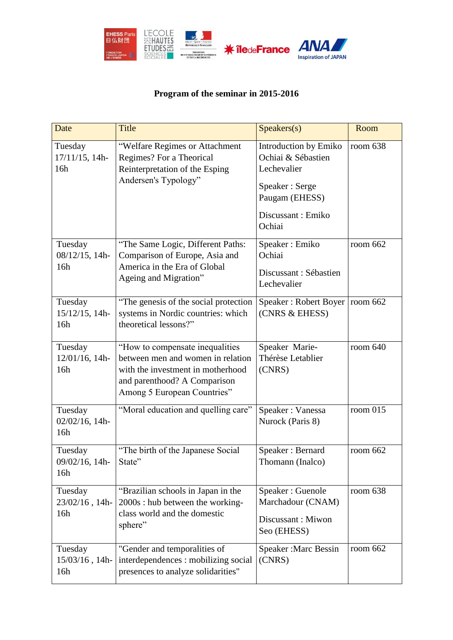

# **Program of the seminar in 2015-2016**

| Date                                | <b>Title</b>                                                                                                                                                             | Speakers(s)                                                                                                                   | Room       |
|-------------------------------------|--------------------------------------------------------------------------------------------------------------------------------------------------------------------------|-------------------------------------------------------------------------------------------------------------------------------|------------|
| Tuesday<br>17/11/15, 14h-<br>16h    | "Welfare Regimes or Attachment<br>Regimes? For a Theorical<br>Reinterpretation of the Esping<br>Andersen's Typology"                                                     | Introduction by Emiko<br>Ochiai & Sébastien<br>Lechevalier<br>Speaker: Serge<br>Paugam (EHESS)<br>Discussant: Emiko<br>Ochiai | room 638   |
| Tuesday<br>08/12/15, 14h-<br>16h    | "The Same Logic, Different Paths:<br>Comparison of Europe, Asia and<br>America in the Era of Global<br>Ageing and Migration"                                             | Speaker: Emiko<br>Ochiai<br>Discussant: Sébastien<br>Lechevalier                                                              | room 662   |
| Tuesday<br>15/12/15, 14h-<br>16h    | "The genesis of the social protection<br>systems in Nordic countries: which<br>theoretical lessons?"                                                                     | Speaker: Robert Boyer<br>(CNRS & EHESS)                                                                                       | room 662   |
| Tuesday<br>12/01/16, 14h-<br>16h    | "How to compensate inequalities<br>between men and women in relation<br>with the investment in motherhood<br>and parenthood? A Comparison<br>Among 5 European Countries" | Speaker Marie-<br>Thérèse Letablier<br>(CNRS)                                                                                 | room $640$ |
| Tuesday<br>$02/02/16$ , 14h-<br>16h | "Moral education and quelling care"                                                                                                                                      | Speaker: Vanessa<br>Nurock (Paris 8)                                                                                          | room 015   |
| Tuesday<br>09/02/16, 14h-<br>16h    | "The birth of the Japanese Social<br>State"                                                                                                                              | Speaker: Bernard<br>Thomann (Inalco)                                                                                          | room 662   |
| Tuesday<br>23/02/16, 14h-<br>16h    | "Brazilian schools in Japan in the<br>2000s : hub between the working-<br>class world and the domestic<br>sphere"                                                        | Speaker: Guenole<br>Marchadour (CNAM)<br>Discussant: Miwon<br>Seo (EHESS)                                                     | room 638   |
| Tuesday<br>15/03/16, 14h-<br>16h    | "Gender and temporalities of<br>interdependences : mobilizing social<br>presences to analyze solidarities"                                                               | Speaker: Marc Bessin<br>(CNRS)                                                                                                | room 662   |